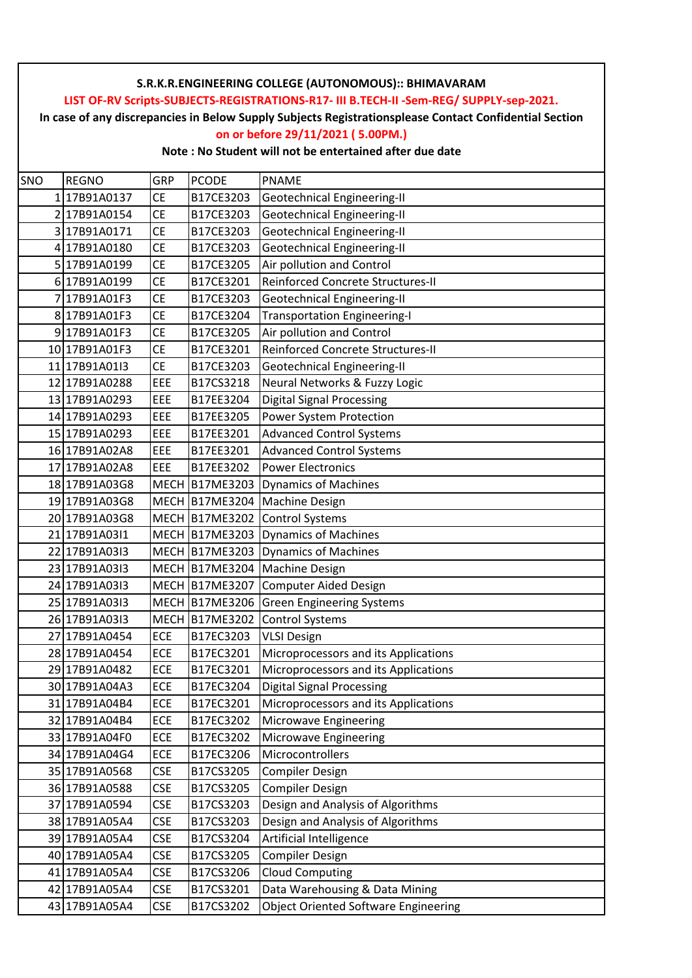**In case of any discrepancies in Below Supply Subjects Registrationsplease Contact Confidential Section**

#### **on or before 29/11/2021 ( 5.00PM.)**

| SNO | <b>REGNO</b>  | GRP         | <b>PCODE</b>          | <b>PNAME</b>                                |
|-----|---------------|-------------|-----------------------|---------------------------------------------|
|     | 17B91A0137    | СE          | B17CE3203             | Geotechnical Engineering-II                 |
| 2   | 17B91A0154    | <b>CE</b>   | B17CE3203             | <b>Geotechnical Engineering-II</b>          |
| 3   | 17B91A0171    | <b>CE</b>   | B17CE3203             | <b>Geotechnical Engineering-II</b>          |
| 4   | 17B91A0180    | <b>CE</b>   | B17CE3203             | <b>Geotechnical Engineering-II</b>          |
|     | 5 17B91A0199  | <b>CE</b>   | B17CE3205             | Air pollution and Control                   |
|     | 6 17B91A0199  | <b>CE</b>   | B17CE3201             | Reinforced Concrete Structures-II           |
|     | 17B91A01F3    | СE          | B17CE3203             | <b>Geotechnical Engineering-II</b>          |
| 8   | 17B91A01F3    | <b>CE</b>   | B17CE3204             | <b>Transportation Engineering-I</b>         |
|     | 917B91A01F3   | <b>CE</b>   | B17CE3205             | Air pollution and Control                   |
|     | 10 17B91A01F3 | <b>CE</b>   | B17CE3201             | Reinforced Concrete Structures-II           |
|     | 11 17B91A0113 | <b>CE</b>   | B17CE3203             | <b>Geotechnical Engineering-II</b>          |
|     | 12 17B91A0288 | EEE         | B17CS3218             | Neural Networks & Fuzzy Logic               |
|     | 13 17B91A0293 | EEE         | B17EE3204             | <b>Digital Signal Processing</b>            |
|     | 14 17B91A0293 | EEE         | B17EE3205             | Power System Protection                     |
|     | 15 17B91A0293 | EEE         | B17EE3201             | <b>Advanced Control Systems</b>             |
|     | 16 17B91A02A8 | EEE         | B17EE3201             | <b>Advanced Control Systems</b>             |
|     | 17 17B91A02A8 | EEE         | B17EE3202             | <b>Power Electronics</b>                    |
|     | 18 17B91A03G8 | <b>MECH</b> | B17ME3203             | <b>Dynamics of Machines</b>                 |
|     | 19 17B91A03G8 |             | MECH B17ME3204        | Machine Design                              |
|     | 20 17B91A03G8 |             | <b>MECH B17ME3202</b> | <b>Control Systems</b>                      |
|     | 21 17B91A0311 |             | MECH B17ME3203        | <b>Dynamics of Machines</b>                 |
|     | 22 17B91A0313 |             | MECH B17ME3203        | <b>Dynamics of Machines</b>                 |
|     | 23 17B91A03I3 |             | MECH B17ME3204        | <b>Machine Design</b>                       |
|     | 24 17B91A0313 |             | MECH B17ME3207        | <b>Computer Aided Design</b>                |
|     | 25 17B91A03I3 | <b>MECH</b> | <b>B17ME3206</b>      | <b>Green Engineering Systems</b>            |
|     | 26 17B91A0313 |             | MECH B17ME3202        | <b>Control Systems</b>                      |
| 27  | 17B91A0454    | ECE         | B17EC3203             | <b>VLSI Design</b>                          |
|     | 28 17B91A0454 | ECE         | B17EC3201             | Microprocessors and its Applications        |
|     | 29 17B91A0482 | ECE         | B17EC3201             | Microprocessors and its Applications        |
|     | 30 17B91A04A3 | <b>ECE</b>  | B17EC3204             | Digital Signal Processing                   |
|     | 31 17B91A04B4 | ECE         | B17EC3201             | Microprocessors and its Applications        |
|     | 32 17B91A04B4 | ECE         | B17EC3202             | Microwave Engineering                       |
|     | 33 17B91A04F0 | ECE         | B17EC3202             | Microwave Engineering                       |
|     | 34 17B91A04G4 | ECE         | B17EC3206             | Microcontrollers                            |
|     | 35 17B91A0568 | <b>CSE</b>  | B17CS3205             | <b>Compiler Design</b>                      |
|     | 36 17B91A0588 | <b>CSE</b>  | B17CS3205             | <b>Compiler Design</b>                      |
|     | 37 17B91A0594 | CSE         | B17CS3203             | Design and Analysis of Algorithms           |
|     | 38 17B91A05A4 | CSE         | B17CS3203             | Design and Analysis of Algorithms           |
|     | 39 17B91A05A4 | CSE         | B17CS3204             | Artificial Intelligence                     |
|     | 40 17B91A05A4 | <b>CSE</b>  | B17CS3205             | <b>Compiler Design</b>                      |
|     | 41 17B91A05A4 | CSE         | B17CS3206             | <b>Cloud Computing</b>                      |
|     | 42 17B91A05A4 | <b>CSE</b>  | B17CS3201             | Data Warehousing & Data Mining              |
|     | 43 17B91A05A4 | <b>CSE</b>  | B17CS3202             | <b>Object Oriented Software Engineering</b> |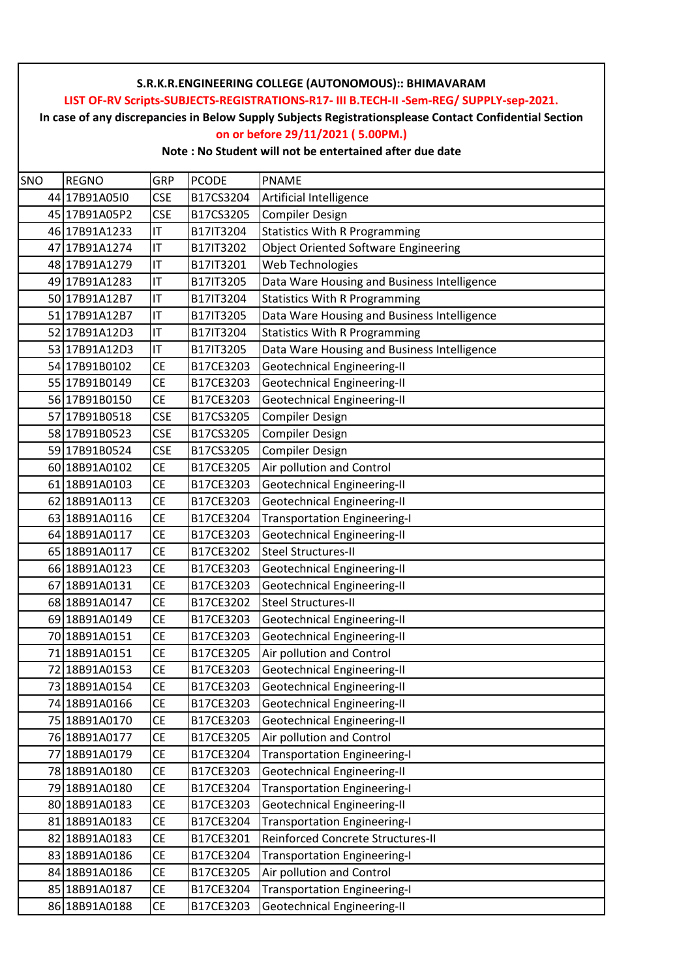**In case of any discrepancies in Below Supply Subjects Registrationsplease Contact Confidential Section**

#### **on or before 29/11/2021 ( 5.00PM.)**

| SNO | <b>REGNO</b>  | GRP        | <b>PCODE</b> | <b>PNAME</b>                                |
|-----|---------------|------------|--------------|---------------------------------------------|
|     | 44 17B91A05I0 | <b>CSE</b> | B17CS3204    | Artificial Intelligence                     |
|     | 45 17B91A05P2 | <b>CSE</b> | B17CS3205    | <b>Compiler Design</b>                      |
|     | 46 17B91A1233 | IT         | B17IT3204    | <b>Statistics With R Programming</b>        |
|     | 47 17B91A1274 | IT         | B17IT3202    | <b>Object Oriented Software Engineering</b> |
|     | 48 17B91A1279 | IT         | B17IT3201    | Web Technologies                            |
|     | 49 17B91A1283 | IT         | B17IT3205    | Data Ware Housing and Business Intelligence |
|     | 50 17B91A12B7 | IT         | B17IT3204    | <b>Statistics With R Programming</b>        |
|     | 51 17B91A12B7 | IT         | B17IT3205    | Data Ware Housing and Business Intelligence |
|     | 52 17B91A12D3 | IT         | B17IT3204    | <b>Statistics With R Programming</b>        |
|     | 53 17B91A12D3 | IT         | B17IT3205    | Data Ware Housing and Business Intelligence |
|     | 54 17B91B0102 | <b>CE</b>  | B17CE3203    | <b>Geotechnical Engineering-II</b>          |
|     | 55 17B91B0149 | <b>CE</b>  | B17CE3203    | <b>Geotechnical Engineering-II</b>          |
|     | 56 17B91B0150 | <b>CE</b>  | B17CE3203    | <b>Geotechnical Engineering-II</b>          |
|     | 57 17B91B0518 | <b>CSE</b> | B17CS3205    | <b>Compiler Design</b>                      |
|     | 58 17B91B0523 | <b>CSE</b> | B17CS3205    | <b>Compiler Design</b>                      |
|     | 59 17B91B0524 | <b>CSE</b> | B17CS3205    | <b>Compiler Design</b>                      |
|     | 60 18B91A0102 | <b>CE</b>  | B17CE3205    | Air pollution and Control                   |
|     | 61 18B91A0103 | <b>CE</b>  | B17CE3203    | Geotechnical Engineering-II                 |
|     | 62 18B91A0113 | <b>CE</b>  | B17CE3203    | <b>Geotechnical Engineering-II</b>          |
|     | 63 18B91A0116 | <b>CE</b>  | B17CE3204    | <b>Transportation Engineering-I</b>         |
|     | 64 18B91A0117 | <b>CE</b>  | B17CE3203    | <b>Geotechnical Engineering-II</b>          |
|     | 65 18B91A0117 | <b>CE</b>  | B17CE3202    | <b>Steel Structures-II</b>                  |
|     | 66 18B91A0123 | <b>CE</b>  | B17CE3203    | <b>Geotechnical Engineering-II</b>          |
|     | 67 18B91A0131 | <b>CE</b>  | B17CE3203    | <b>Geotechnical Engineering-II</b>          |
|     | 68 18B91A0147 | <b>CE</b>  | B17CE3202    | <b>Steel Structures-II</b>                  |
|     | 69 18B91A0149 | <b>CE</b>  | B17CE3203    | <b>Geotechnical Engineering-II</b>          |
|     | 70 18B91A0151 | <b>CE</b>  | B17CE3203    | <b>Geotechnical Engineering-II</b>          |
|     | 71 18B91A0151 | <b>CE</b>  | B17CE3205    | Air pollution and Control                   |
|     | 72 18B91A0153 | <b>CE</b>  | B17CE3203    | <b>Geotechnical Engineering-II</b>          |
|     | 73 18B91A0154 | <b>CE</b>  | B17CE3203    | <b>Geotechnical Engineering-II</b>          |
|     | 74 18B91A0166 | <b>CE</b>  | B17CE3203    | Geotechnical Engineering-II                 |
|     | 75 18B91A0170 | CE         | B17CE3203    | Geotechnical Engineering-II                 |
|     | 76 18B91A0177 | <b>CE</b>  | B17CE3205    | Air pollution and Control                   |
|     | 77 18B91A0179 | <b>CE</b>  | B17CE3204    | <b>Transportation Engineering-I</b>         |
|     | 78 18B91A0180 | <b>CE</b>  | B17CE3203    | <b>Geotechnical Engineering-II</b>          |
|     | 79 18B91A0180 | <b>CE</b>  | B17CE3204    | <b>Transportation Engineering-I</b>         |
|     | 80 18B91A0183 | CE         | B17CE3203    | <b>Geotechnical Engineering-II</b>          |
|     | 81 18B91A0183 | <b>CE</b>  | B17CE3204    | <b>Transportation Engineering-I</b>         |
|     | 82 18B91A0183 | CE         | B17CE3201    | Reinforced Concrete Structures-II           |
|     | 83 18B91A0186 | <b>CE</b>  | B17CE3204    | <b>Transportation Engineering-I</b>         |
|     | 84 18B91A0186 | <b>CE</b>  | B17CE3205    | Air pollution and Control                   |
|     | 85 18B91A0187 | <b>CE</b>  | B17CE3204    | <b>Transportation Engineering-I</b>         |
|     | 86 18B91A0188 | <b>CE</b>  | B17CE3203    | Geotechnical Engineering-II                 |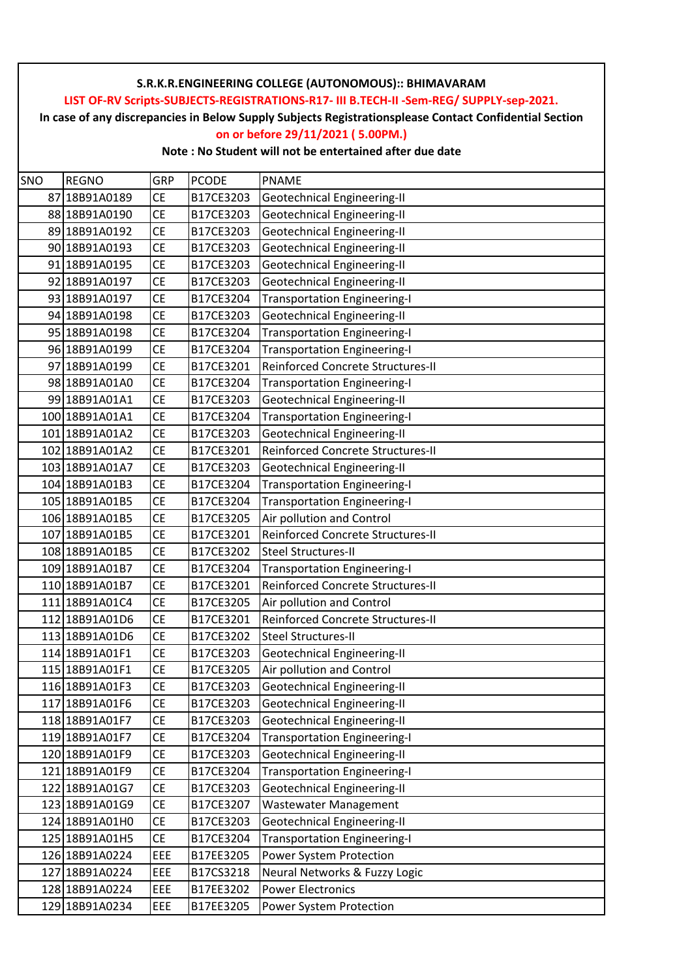**In case of any discrepancies in Below Supply Subjects Registrationsplease Contact Confidential Section**

## **on or before 29/11/2021 ( 5.00PM.)**

| SNO | <b>REGNO</b>   | GRP       | <b>PCODE</b> | PNAME                               |
|-----|----------------|-----------|--------------|-------------------------------------|
| 87  | 18B91A0189     | <b>CE</b> | B17CE3203    | Geotechnical Engineering-II         |
|     | 88 18B91A0190  | <b>CE</b> | B17CE3203    | <b>Geotechnical Engineering-II</b>  |
|     | 89 18B91A0192  | <b>CE</b> | B17CE3203    | <b>Geotechnical Engineering-II</b>  |
|     | 90 18B91A0193  | <b>CE</b> | B17CE3203    | <b>Geotechnical Engineering-II</b>  |
|     | 91 18B91A0195  | <b>CE</b> | B17CE3203    | <b>Geotechnical Engineering-II</b>  |
|     | 92 18B91A0197  | СE        | B17CE3203    | <b>Geotechnical Engineering-II</b>  |
|     | 93 18B91A0197  | <b>CE</b> | B17CE3204    | <b>Transportation Engineering-I</b> |
|     | 94 18B91A0198  | <b>CE</b> | B17CE3203    | <b>Geotechnical Engineering-II</b>  |
|     | 95 18B91A0198  | <b>CE</b> | B17CE3204    | <b>Transportation Engineering-I</b> |
|     | 96 18B91A0199  | <b>CE</b> | B17CE3204    | <b>Transportation Engineering-I</b> |
|     | 97 18B91A0199  | <b>CE</b> | B17CE3201    | Reinforced Concrete Structures-II   |
|     | 98 18B91A01A0  | <b>CE</b> | B17CE3204    | <b>Transportation Engineering-I</b> |
|     | 99 18B91A01A1  | <b>CE</b> | B17CE3203    | <b>Geotechnical Engineering-II</b>  |
|     | 100 18B91A01A1 | <b>CE</b> | B17CE3204    | <b>Transportation Engineering-I</b> |
|     | 101 18B91A01A2 | <b>CE</b> | B17CE3203    | <b>Geotechnical Engineering-II</b>  |
|     | 102 18B91A01A2 | <b>CE</b> | B17CE3201    | Reinforced Concrete Structures-II   |
|     | 103 18B91A01A7 | <b>CE</b> | B17CE3203    | Geotechnical Engineering-II         |
|     | 104 18B91A01B3 | <b>CE</b> | B17CE3204    | <b>Transportation Engineering-I</b> |
|     | 105 18B91A01B5 | <b>CE</b> | B17CE3204    | <b>Transportation Engineering-I</b> |
|     | 106 18B91A01B5 | <b>CE</b> | B17CE3205    | Air pollution and Control           |
|     | 107 18B91A01B5 | <b>CE</b> | B17CE3201    | Reinforced Concrete Structures-II   |
|     | 108 18B91A01B5 | <b>CE</b> | B17CE3202    | <b>Steel Structures-II</b>          |
|     | 109 18B91A01B7 | <b>CE</b> | B17CE3204    | <b>Transportation Engineering-I</b> |
|     | 110 18B91A01B7 | <b>CE</b> | B17CE3201    | Reinforced Concrete Structures-II   |
|     | 111 18B91A01C4 | <b>CE</b> | B17CE3205    | Air pollution and Control           |
|     | 112 18B91A01D6 | <b>CE</b> | B17CE3201    | Reinforced Concrete Structures-II   |
|     | 113 18B91A01D6 | <b>CE</b> | B17CE3202    | <b>Steel Structures-II</b>          |
|     | 114 18B91A01F1 | <b>CE</b> | B17CE3203    | Geotechnical Engineering-II         |
|     | 115 18B91A01F1 | <b>CE</b> | B17CE3205    | Air pollution and Control           |
|     | 116 18B91A01F3 | <b>CE</b> | B17CE3203    | <b>Geotechnical Engineering-II</b>  |
|     | 117 18B91A01F6 | СE        | B17CE3203    | Geotechnical Engineering-II         |
|     | 118 18B91A01F7 | <b>CE</b> | B17CE3203    | Geotechnical Engineering-II         |
|     | 119 18B91A01F7 | <b>CE</b> | B17CE3204    | <b>Transportation Engineering-I</b> |
|     | 120 18B91A01F9 | СE        | B17CE3203    | <b>Geotechnical Engineering-II</b>  |
|     | 121 18B91A01F9 | <b>CE</b> | B17CE3204    | <b>Transportation Engineering-I</b> |
|     | 122 18B91A01G7 | <b>CE</b> | B17CE3203    | Geotechnical Engineering-II         |
|     | 123 18B91A01G9 | СE        | B17CE3207    | <b>Wastewater Management</b>        |
|     | 124 18B91A01H0 | <b>CE</b> | B17CE3203    | Geotechnical Engineering-II         |
|     | 125 18B91A01H5 | СE        | B17CE3204    | <b>Transportation Engineering-I</b> |
|     | 126 18B91A0224 | EEE       | B17EE3205    | Power System Protection             |
|     | 127 18B91A0224 | EEE       | B17CS3218    | Neural Networks & Fuzzy Logic       |
|     | 128 18B91A0224 | EEE       | B17EE3202    | <b>Power Electronics</b>            |
|     | 129 18B91A0234 | EEE       | B17EE3205    | Power System Protection             |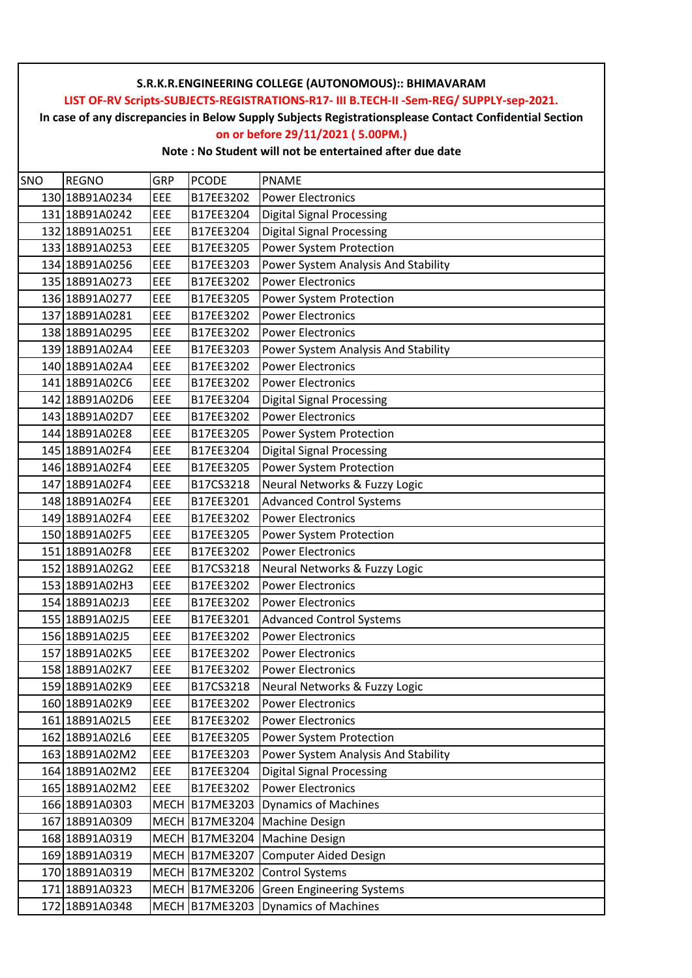**In case of any discrepancies in Below Supply Subjects Registrationsplease Contact Confidential Section**

## **on or before 29/11/2021 ( 5.00PM.)**

| SNO | <b>REGNO</b>   | GRP         | <b>PCODE</b>   | <b>PNAME</b>                        |
|-----|----------------|-------------|----------------|-------------------------------------|
|     | 130 18B91A0234 | EEE         | B17EE3202      | <b>Power Electronics</b>            |
|     | 131 18B91A0242 | EEE         | B17EE3204      | <b>Digital Signal Processing</b>    |
|     | 132 18B91A0251 | EEE         | B17EE3204      | <b>Digital Signal Processing</b>    |
|     | 133 18B91A0253 | EEE         | B17EE3205      | Power System Protection             |
|     | 134 18B91A0256 | EEE         | B17EE3203      | Power System Analysis And Stability |
|     | 135 18B91A0273 | EEE         | B17EE3202      | <b>Power Electronics</b>            |
|     | 136 18B91A0277 | EEE         | B17EE3205      | Power System Protection             |
|     | 137 18B91A0281 | EEE         | B17EE3202      | <b>Power Electronics</b>            |
|     | 138 18B91A0295 | EEE         | B17EE3202      | <b>Power Electronics</b>            |
|     | 139 18B91A02A4 | EEE         | B17EE3203      | Power System Analysis And Stability |
|     | 140 18B91A02A4 | EEE         | B17EE3202      | <b>Power Electronics</b>            |
|     | 141 18B91A02C6 | EEE         | B17EE3202      | <b>Power Electronics</b>            |
|     | 142 18B91A02D6 | EEE         | B17EE3204      | <b>Digital Signal Processing</b>    |
|     | 143 18B91A02D7 | EEE         | B17EE3202      | <b>Power Electronics</b>            |
|     | 144 18B91A02E8 | EEE         | B17EE3205      | Power System Protection             |
|     | 145 18B91A02F4 | EEE         | B17EE3204      | <b>Digital Signal Processing</b>    |
|     | 146 18B91A02F4 | EEE         | B17EE3205      | Power System Protection             |
|     | 147 18B91A02F4 | EEE         | B17CS3218      | Neural Networks & Fuzzy Logic       |
|     | 148 18B91A02F4 | EEE         | B17EE3201      | <b>Advanced Control Systems</b>     |
|     | 149 18B91A02F4 | EEE         | B17EE3202      | <b>Power Electronics</b>            |
|     | 150 18B91A02F5 | EEE         | B17EE3205      | Power System Protection             |
|     | 151 18B91A02F8 | EEE         | B17EE3202      | <b>Power Electronics</b>            |
|     | 152 18B91A02G2 | EEE         | B17CS3218      | Neural Networks & Fuzzy Logic       |
|     | 153 18B91A02H3 | EEE         | B17EE3202      | <b>Power Electronics</b>            |
|     | 154 18B91A02J3 | EEE         | B17EE3202      | <b>Power Electronics</b>            |
|     | 155 18B91A02J5 | EEE         | B17EE3201      | <b>Advanced Control Systems</b>     |
|     | 156 18B91A02J5 | EEE         | B17EE3202      | <b>Power Electronics</b>            |
|     | 157 18B91A02K5 | EEE         | B17EE3202      | <b>Power Electronics</b>            |
|     | 158 18B91A02K7 | EEE         | B17EE3202      | <b>Power Electronics</b>            |
|     | 159 18B91A02K9 | EEE         | B17CS3218      | Neural Networks & Fuzzy Logic       |
|     | 160 18B91A02K9 | EEE         | B17EE3202      | <b>Power Electronics</b>            |
|     | 161 18B91A02L5 | EEE         | B17EE3202      | <b>Power Electronics</b>            |
|     | 162 18B91A02L6 | EEE         | B17EE3205      | Power System Protection             |
|     | 163 18B91A02M2 | EEE         | B17EE3203      | Power System Analysis And Stability |
|     | 164 18B91A02M2 | EEE         | B17EE3204      | <b>Digital Signal Processing</b>    |
|     | 165 18B91A02M2 | EEE         | B17EE3202      | <b>Power Electronics</b>            |
|     | 166 18B91A0303 | <b>MECH</b> | B17ME3203      | <b>Dynamics of Machines</b>         |
|     | 167 18B91A0309 |             | MECH B17ME3204 | Machine Design                      |
|     | 168 18B91A0319 |             | MECH B17ME3204 | Machine Design                      |
|     | 169 18B91A0319 |             | MECH B17ME3207 | <b>Computer Aided Design</b>        |
|     | 170 18B91A0319 |             | MECH B17ME3202 | <b>Control Systems</b>              |
|     | 171 18B91A0323 |             | MECH B17ME3206 | <b>Green Engineering Systems</b>    |
|     | 172 18B91A0348 |             | MECH B17ME3203 | <b>Dynamics of Machines</b>         |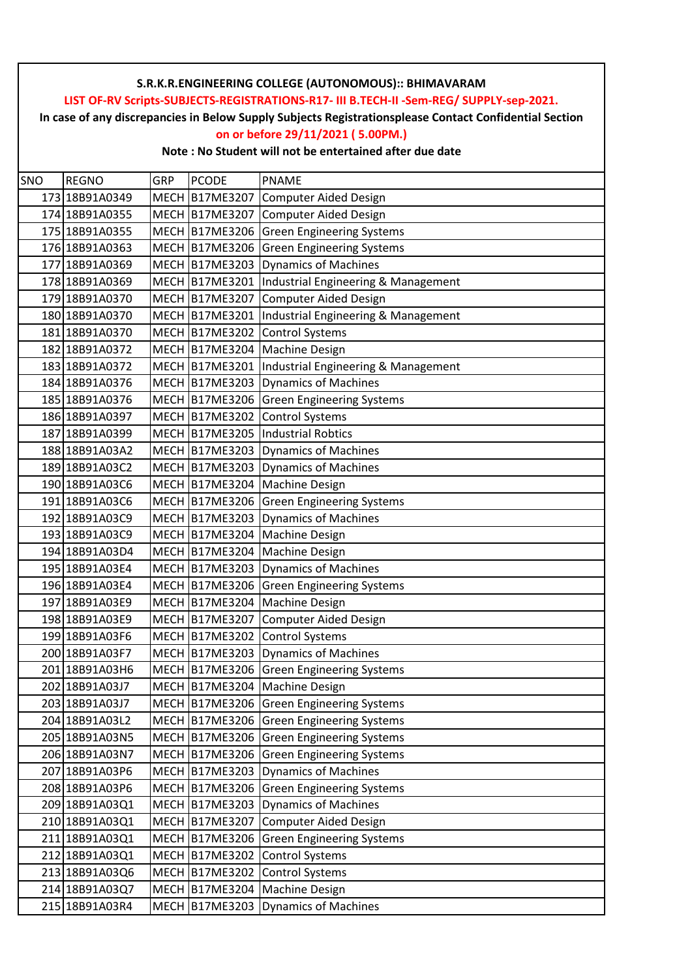**In case of any discrepancies in Below Supply Subjects Registrationsplease Contact Confidential Section**

## **on or before 29/11/2021 ( 5.00PM.)**

| SNO | <b>REGNO</b>   | GRP         | <b>PCODE</b>          | <b>PNAME</b>                        |
|-----|----------------|-------------|-----------------------|-------------------------------------|
|     | 173 18B91A0349 | <b>MECH</b> | B17ME3207             | Computer Aided Design               |
|     | 174 18B91A0355 |             | MECH B17ME3207        | <b>Computer Aided Design</b>        |
|     | 175 18B91A0355 |             | MECH B17ME3206        | <b>Green Engineering Systems</b>    |
|     | 176 18B91A0363 |             | <b>MECH B17ME3206</b> | <b>Green Engineering Systems</b>    |
|     | 177 18B91A0369 |             | MECH B17ME3203        | <b>Dynamics of Machines</b>         |
|     | 178 18B91A0369 |             | MECH B17ME3201        | Industrial Engineering & Management |
|     | 179 18B91A0370 |             | MECH B17ME3207        | <b>Computer Aided Design</b>        |
|     | 180 18B91A0370 |             | MECH B17ME3201        | Industrial Engineering & Management |
|     | 181 18B91A0370 |             | MECH B17ME3202        | <b>Control Systems</b>              |
|     | 182 18B91A0372 |             | MECH B17ME3204        | <b>Machine Design</b>               |
|     | 183 18B91A0372 |             | MECH B17ME3201        | Industrial Engineering & Management |
|     | 184 18B91A0376 |             | MECH B17ME3203        | <b>Dynamics of Machines</b>         |
|     | 185 18B91A0376 |             | MECH B17ME3206        | <b>Green Engineering Systems</b>    |
|     | 186 18B91A0397 |             | MECH B17ME3202        | <b>Control Systems</b>              |
|     | 187 18B91A0399 |             | MECH B17ME3205        | <b>Industrial Robtics</b>           |
|     | 188 18B91A03A2 |             | MECH B17ME3203        | <b>Dynamics of Machines</b>         |
|     | 189 18B91A03C2 |             | MECH B17ME3203        | <b>Dynamics of Machines</b>         |
|     | 190 18B91A03C6 |             | MECH B17ME3204        | Machine Design                      |
|     | 191 18B91A03C6 |             | MECH B17ME3206        | <b>Green Engineering Systems</b>    |
|     | 192 18B91A03C9 |             | MECH B17ME3203        | <b>Dynamics of Machines</b>         |
|     | 193 18B91A03C9 |             | MECH B17ME3204        | <b>Machine Design</b>               |
|     | 194 18B91A03D4 |             | MECH B17ME3204        | <b>Machine Design</b>               |
|     | 195 18B91A03E4 |             | MECH B17ME3203        | <b>Dynamics of Machines</b>         |
|     | 196 18B91A03E4 |             | MECH B17ME3206        | <b>Green Engineering Systems</b>    |
|     | 197 18B91A03E9 |             | MECH B17ME3204        | Machine Design                      |
|     | 198 18B91A03E9 |             | MECH B17ME3207        | Computer Aided Design               |
|     | 199 18B91A03F6 |             | MECH B17ME3202        | <b>Control Systems</b>              |
|     | 200 18B91A03F7 |             | MECH B17ME3203        | <b>Dynamics of Machines</b>         |
|     | 201 18B91A03H6 |             | MECH B17ME3206        | <b>Green Engineering Systems</b>    |
|     | 202 18B91A03J7 |             | MECH B17ME3204        | Machine Design                      |
|     | 203 18B91A03J7 |             | MECH B17ME3206        | <b>Green Engineering Systems</b>    |
|     | 204 18B91A03L2 |             | MECH B17ME3206        | <b>Green Engineering Systems</b>    |
|     | 205 18B91A03N5 |             | MECH B17ME3206        | <b>Green Engineering Systems</b>    |
|     | 206 18B91A03N7 |             | MECH B17ME3206        | <b>Green Engineering Systems</b>    |
|     | 207 18B91A03P6 |             | MECH B17ME3203        | <b>Dynamics of Machines</b>         |
|     | 208 18B91A03P6 |             | MECH B17ME3206        | <b>Green Engineering Systems</b>    |
|     | 209 18B91A03Q1 |             | MECH B17ME3203        | <b>Dynamics of Machines</b>         |
|     | 210 18B91A03Q1 |             | MECH B17ME3207        | Computer Aided Design               |
|     | 211 18B91A03Q1 |             | MECH B17ME3206        | <b>Green Engineering Systems</b>    |
|     | 212 18B91A03Q1 |             | MECH B17ME3202        | <b>Control Systems</b>              |
|     | 213 18B91A03Q6 |             | MECH B17ME3202        | <b>Control Systems</b>              |
|     | 214 18B91A03Q7 |             | MECH B17ME3204        | Machine Design                      |
|     | 215 18B91A03R4 |             | MECH B17ME3203        | Dynamics of Machines                |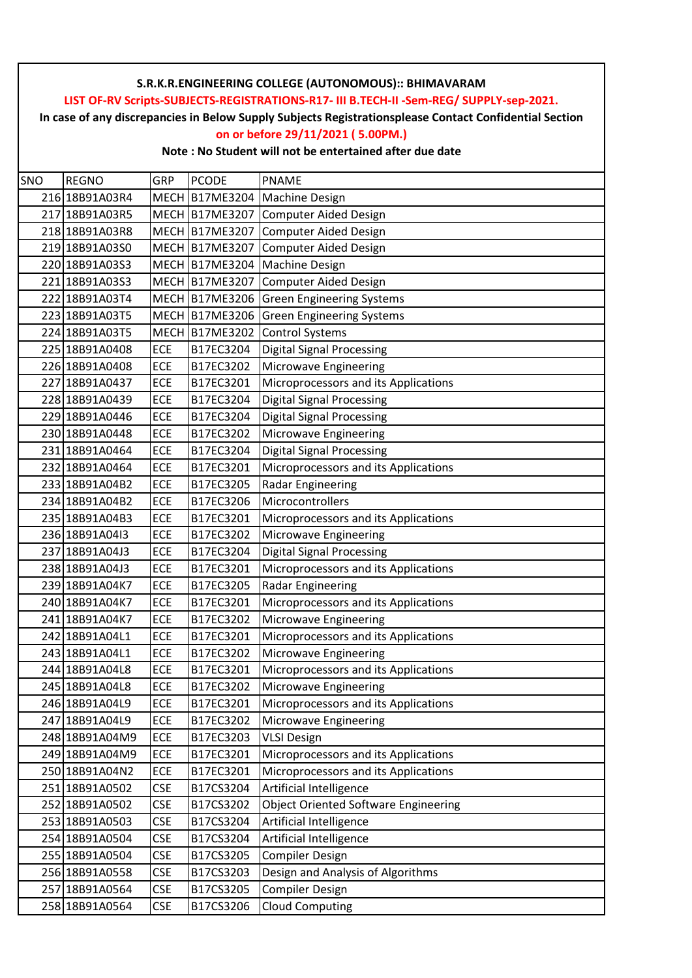**In case of any discrepancies in Below Supply Subjects Registrationsplease Contact Confidential Section**

## **on or before 29/11/2021 ( 5.00PM.)**

| SNO | <b>REGNO</b>   | GRP         | <b>PCODE</b>   | <b>PNAME</b>                                |
|-----|----------------|-------------|----------------|---------------------------------------------|
|     | 216 18B91A03R4 | <b>MECH</b> | B17ME3204      | <b>Machine Design</b>                       |
|     | 217 18B91A03R5 |             | MECH B17ME3207 | Computer Aided Design                       |
|     | 218 18B91A03R8 |             | MECH B17ME3207 | Computer Aided Design                       |
|     | 219 18B91A03S0 |             | MECH B17ME3207 | <b>Computer Aided Design</b>                |
|     | 220 18B91A03S3 |             | MECH B17ME3204 | <b>Machine Design</b>                       |
|     | 221 18B91A03S3 |             | MECH B17ME3207 | <b>Computer Aided Design</b>                |
|     | 222 18B91A03T4 |             | MECH B17ME3206 | <b>Green Engineering Systems</b>            |
|     | 223 18B91A03T5 |             | MECH B17ME3206 | <b>Green Engineering Systems</b>            |
|     | 224 18B91A03T5 |             | MECH B17ME3202 | <b>Control Systems</b>                      |
|     | 225 18B91A0408 | ECE         | B17EC3204      | <b>Digital Signal Processing</b>            |
|     | 226 18B91A0408 | ECE         | B17EC3202      | Microwave Engineering                       |
|     | 227 18B91A0437 | <b>ECE</b>  | B17EC3201      | Microprocessors and its Applications        |
|     | 228 18B91A0439 | ECE         | B17EC3204      | <b>Digital Signal Processing</b>            |
|     | 229 18B91A0446 | ECE         | B17EC3204      | <b>Digital Signal Processing</b>            |
|     | 230 18B91A0448 | ECE         | B17EC3202      | Microwave Engineering                       |
|     | 231 18B91A0464 | ECE         | B17EC3204      | <b>Digital Signal Processing</b>            |
|     | 232 18B91A0464 | <b>ECE</b>  | B17EC3201      | Microprocessors and its Applications        |
|     | 233 18B91A04B2 | ECE         | B17EC3205      | Radar Engineering                           |
|     | 234 18B91A04B2 | ECE         | B17EC3206      | Microcontrollers                            |
|     | 235 18B91A04B3 | ECE         | B17EC3201      | Microprocessors and its Applications        |
|     | 236 18B91A04I3 | ECE         | B17EC3202      | Microwave Engineering                       |
|     | 237 18B91A04J3 | <b>ECE</b>  | B17EC3204      | <b>Digital Signal Processing</b>            |
|     | 238 18B91A04J3 | ECE         | B17EC3201      | Microprocessors and its Applications        |
|     | 239 18B91A04K7 | ECE         | B17EC3205      | <b>Radar Engineering</b>                    |
|     | 240 18B91A04K7 | ECE         | B17EC3201      | Microprocessors and its Applications        |
|     | 241 18B91A04K7 | ECE         | B17EC3202      | Microwave Engineering                       |
|     | 242 18B91A04L1 | <b>ECE</b>  | B17EC3201      | Microprocessors and its Applications        |
|     | 243 18B91A04L1 | ECE         | B17EC3202      | Microwave Engineering                       |
|     | 244 18B91A04L8 | ECE         | B17EC3201      | Microprocessors and its Applications        |
|     | 245 18B91A04L8 | <b>ECE</b>  | B17EC3202      | Microwave Engineering                       |
|     | 246 18B91A04L9 | <b>ECE</b>  | B17EC3201      | Microprocessors and its Applications        |
|     | 247 18B91A04L9 | ECE         | B17EC3202      | Microwave Engineering                       |
|     | 248 18B91A04M9 | ECE         | B17EC3203      | <b>VLSI Design</b>                          |
|     | 249 18B91A04M9 | ECE         | B17EC3201      | Microprocessors and its Applications        |
|     | 250 18B91A04N2 | ECE         | B17EC3201      | Microprocessors and its Applications        |
|     | 251 18B91A0502 | <b>CSE</b>  | B17CS3204      | Artificial Intelligence                     |
|     | 252 18B91A0502 | <b>CSE</b>  | B17CS3202      | <b>Object Oriented Software Engineering</b> |
|     | 253 18B91A0503 | <b>CSE</b>  | B17CS3204      | Artificial Intelligence                     |
|     | 254 18B91A0504 | <b>CSE</b>  | B17CS3204      | Artificial Intelligence                     |
|     | 255 18B91A0504 | <b>CSE</b>  | B17CS3205      | <b>Compiler Design</b>                      |
|     | 256 18B91A0558 | <b>CSE</b>  | B17CS3203      | Design and Analysis of Algorithms           |
|     | 257 18B91A0564 | <b>CSE</b>  | B17CS3205      | <b>Compiler Design</b>                      |
|     | 258 18B91A0564 | <b>CSE</b>  | B17CS3206      | <b>Cloud Computing</b>                      |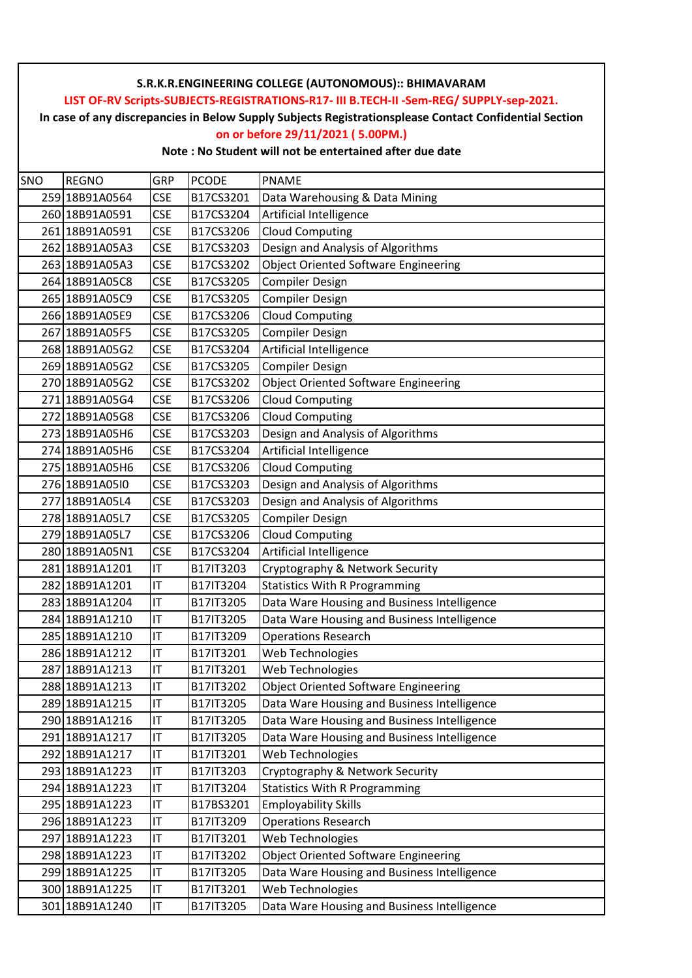**In case of any discrepancies in Below Supply Subjects Registrationsplease Contact Confidential Section**

# **on or before 29/11/2021 ( 5.00PM.)**

| SNO | <b>REGNO</b>   | GRP        | <b>PCODE</b> | <b>PNAME</b>                                |
|-----|----------------|------------|--------------|---------------------------------------------|
|     | 259 18B91A0564 | <b>CSE</b> | B17CS3201    | Data Warehousing & Data Mining              |
|     | 260 18B91A0591 | <b>CSE</b> | B17CS3204    | Artificial Intelligence                     |
|     | 261 18B91A0591 | <b>CSE</b> | B17CS3206    | <b>Cloud Computing</b>                      |
|     | 262 18B91A05A3 | <b>CSE</b> | B17CS3203    | Design and Analysis of Algorithms           |
|     | 263 18B91A05A3 | <b>CSE</b> | B17CS3202    | <b>Object Oriented Software Engineering</b> |
|     | 264 18B91A05C8 | <b>CSE</b> | B17CS3205    | <b>Compiler Design</b>                      |
|     | 265 18B91A05C9 | <b>CSE</b> | B17CS3205    | <b>Compiler Design</b>                      |
|     | 266 18B91A05E9 | <b>CSE</b> | B17CS3206    | <b>Cloud Computing</b>                      |
|     | 267 18B91A05F5 | <b>CSE</b> | B17CS3205    | <b>Compiler Design</b>                      |
|     | 268 18B91A05G2 | <b>CSE</b> | B17CS3204    | Artificial Intelligence                     |
|     | 269 18B91A05G2 | <b>CSE</b> | B17CS3205    | <b>Compiler Design</b>                      |
|     | 270 18B91A05G2 | <b>CSE</b> | B17CS3202    | <b>Object Oriented Software Engineering</b> |
|     | 271 18B91A05G4 | <b>CSE</b> | B17CS3206    | <b>Cloud Computing</b>                      |
|     | 272 18B91A05G8 | <b>CSE</b> | B17CS3206    | <b>Cloud Computing</b>                      |
|     | 273 18B91A05H6 | <b>CSE</b> | B17CS3203    | Design and Analysis of Algorithms           |
|     | 274 18B91A05H6 | <b>CSE</b> | B17CS3204    | Artificial Intelligence                     |
|     | 275 18B91A05H6 | <b>CSE</b> | B17CS3206    | <b>Cloud Computing</b>                      |
|     | 276 18B91A0510 | <b>CSE</b> | B17CS3203    | Design and Analysis of Algorithms           |
|     | 277 18B91A05L4 | <b>CSE</b> | B17CS3203    | Design and Analysis of Algorithms           |
|     | 278 18B91A05L7 | <b>CSE</b> | B17CS3205    | <b>Compiler Design</b>                      |
|     | 279 18B91A05L7 | <b>CSE</b> | B17CS3206    | <b>Cloud Computing</b>                      |
|     | 280 18B91A05N1 | <b>CSE</b> | B17CS3204    | Artificial Intelligence                     |
|     | 281 18B91A1201 | IT         | B17IT3203    | Cryptography & Network Security             |
|     | 282 18B91A1201 | IT         | B17IT3204    | <b>Statistics With R Programming</b>        |
|     | 283 18B91A1204 | IT         | B17IT3205    | Data Ware Housing and Business Intelligence |
|     | 284 18B91A1210 | IT         | B17IT3205    | Data Ware Housing and Business Intelligence |
|     | 285 18B91A1210 | IT         | B17IT3209    | <b>Operations Research</b>                  |
|     | 286 18B91A1212 | IT         | B17IT3201    | Web Technologies                            |
| 287 | 18B91A1213     | IT         | B17IT3201    | Web Technologies                            |
|     | 288 18B91A1213 | IT         | B17IT3202    | <b>Object Oriented Software Engineering</b> |
|     | 289 18B91A1215 | IT         | B17IT3205    | Data Ware Housing and Business Intelligence |
|     | 290 18B91A1216 | IT         | B17IT3205    | Data Ware Housing and Business Intelligence |
|     | 291 18B91A1217 | IT         | B17IT3205    | Data Ware Housing and Business Intelligence |
|     | 292 18B91A1217 | IT         | B17IT3201    | Web Technologies                            |
|     | 293 18B91A1223 | IT         | B17IT3203    | Cryptography & Network Security             |
|     | 294 18B91A1223 | IT         | B17IT3204    | <b>Statistics With R Programming</b>        |
|     | 295 18B91A1223 | IT         | B17BS3201    | <b>Employability Skills</b>                 |
|     | 296 18B91A1223 | IT         | B17IT3209    | <b>Operations Research</b>                  |
|     | 297 18B91A1223 | IT         | B17IT3201    | Web Technologies                            |
|     | 298 18B91A1223 | IT         | B17IT3202    | <b>Object Oriented Software Engineering</b> |
|     | 299 18B91A1225 | IT         | B17IT3205    | Data Ware Housing and Business Intelligence |
|     | 300 18B91A1225 | IT         | B17IT3201    | Web Technologies                            |
|     | 301 18B91A1240 | IT         | B17IT3205    | Data Ware Housing and Business Intelligence |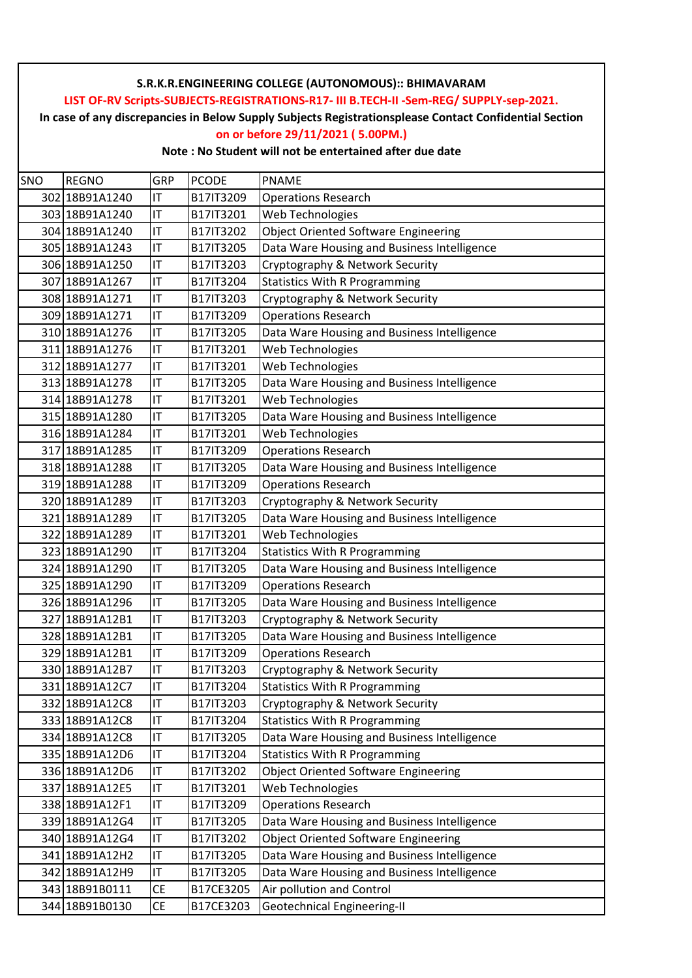**In case of any discrepancies in Below Supply Subjects Registrationsplease Contact Confidential Section**

## **on or before 29/11/2021 ( 5.00PM.)**

| SNO | <b>REGNO</b>   | GRP       | <b>PCODE</b> | <b>PNAME</b>                                |
|-----|----------------|-----------|--------------|---------------------------------------------|
|     | 302 18B91A1240 | IT        | B17IT3209    | <b>Operations Research</b>                  |
|     | 303 18B91A1240 | IT        | B17IT3201    | Web Technologies                            |
|     | 304 18B91A1240 | IT        | B17IT3202    | <b>Object Oriented Software Engineering</b> |
|     | 305 18B91A1243 | IT        | B17IT3205    | Data Ware Housing and Business Intelligence |
|     | 306 18B91A1250 | IT        | B17IT3203    | Cryptography & Network Security             |
|     | 307 18B91A1267 | IT        | B17IT3204    | <b>Statistics With R Programming</b>        |
|     | 308 18B91A1271 | IT        | B17IT3203    | Cryptography & Network Security             |
|     | 309 18B91A1271 | IT        | B17IT3209    | <b>Operations Research</b>                  |
|     | 310 18B91A1276 | IT        | B17IT3205    | Data Ware Housing and Business Intelligence |
|     | 311 18B91A1276 | IT        | B17IT3201    | Web Technologies                            |
|     | 312 18B91A1277 | IT        | B17IT3201    | Web Technologies                            |
|     | 313 18B91A1278 | IT        | B17IT3205    | Data Ware Housing and Business Intelligence |
|     | 314 18B91A1278 | IT        | B17IT3201    | Web Technologies                            |
|     | 315 18B91A1280 | IT        | B17IT3205    | Data Ware Housing and Business Intelligence |
|     | 316 18B91A1284 | IT        | B17IT3201    | Web Technologies                            |
|     | 317 18B91A1285 | IT        | B17IT3209    | <b>Operations Research</b>                  |
|     | 318 18B91A1288 | IT        | B17IT3205    | Data Ware Housing and Business Intelligence |
|     | 319 18B91A1288 | IT        | B17IT3209    | <b>Operations Research</b>                  |
|     | 320 18B91A1289 | IT        | B17IT3203    | Cryptography & Network Security             |
|     | 321 18B91A1289 | IT        | B17IT3205    | Data Ware Housing and Business Intelligence |
|     | 322 18B91A1289 | IT        | B17IT3201    | Web Technologies                            |
|     | 323 18B91A1290 | IT        | B17IT3204    | <b>Statistics With R Programming</b>        |
|     | 324 18B91A1290 | IT        | B17IT3205    | Data Ware Housing and Business Intelligence |
|     | 325 18B91A1290 | IT        | B17IT3209    | <b>Operations Research</b>                  |
|     | 326 18B91A1296 | IT        | B17IT3205    | Data Ware Housing and Business Intelligence |
|     | 327 18B91A12B1 | IT        | B17IT3203    | Cryptography & Network Security             |
|     | 328 18B91A12B1 | IT        | B17IT3205    | Data Ware Housing and Business Intelligence |
|     | 329 18B91A12B1 | IT        | B17IT3209    | <b>Operations Research</b>                  |
|     | 330 18B91A12B7 | IT        | B17IT3203    | Cryptography & Network Security             |
|     | 331 18B91A12C7 | IT        | B17IT3204    | <b>Statistics With R Programming</b>        |
|     | 332 18B91A12C8 | IT        | B17IT3203    | Cryptography & Network Security             |
|     | 333 18B91A12C8 | IT        | B17IT3204    | <b>Statistics With R Programming</b>        |
|     | 334 18B91A12C8 | IT        | B17IT3205    | Data Ware Housing and Business Intelligence |
|     | 335 18B91A12D6 | IT        | B17IT3204    | <b>Statistics With R Programming</b>        |
|     | 336 18B91A12D6 | IT        | B17IT3202    | <b>Object Oriented Software Engineering</b> |
|     | 337 18B91A12E5 | IT        | B17IT3201    | Web Technologies                            |
|     | 338 18B91A12F1 | IT        | B17IT3209    | <b>Operations Research</b>                  |
|     | 339 18B91A12G4 | IT        | B17IT3205    | Data Ware Housing and Business Intelligence |
|     | 340 18B91A12G4 | IT        | B17IT3202    | <b>Object Oriented Software Engineering</b> |
|     | 341 18B91A12H2 | IT        | B17IT3205    | Data Ware Housing and Business Intelligence |
|     | 342 18B91A12H9 | IT        | B17IT3205    | Data Ware Housing and Business Intelligence |
|     | 343 18B91B0111 | <b>CE</b> | B17CE3205    | Air pollution and Control                   |
|     | 344 18B91B0130 | <b>CE</b> | B17CE3203    | Geotechnical Engineering-II                 |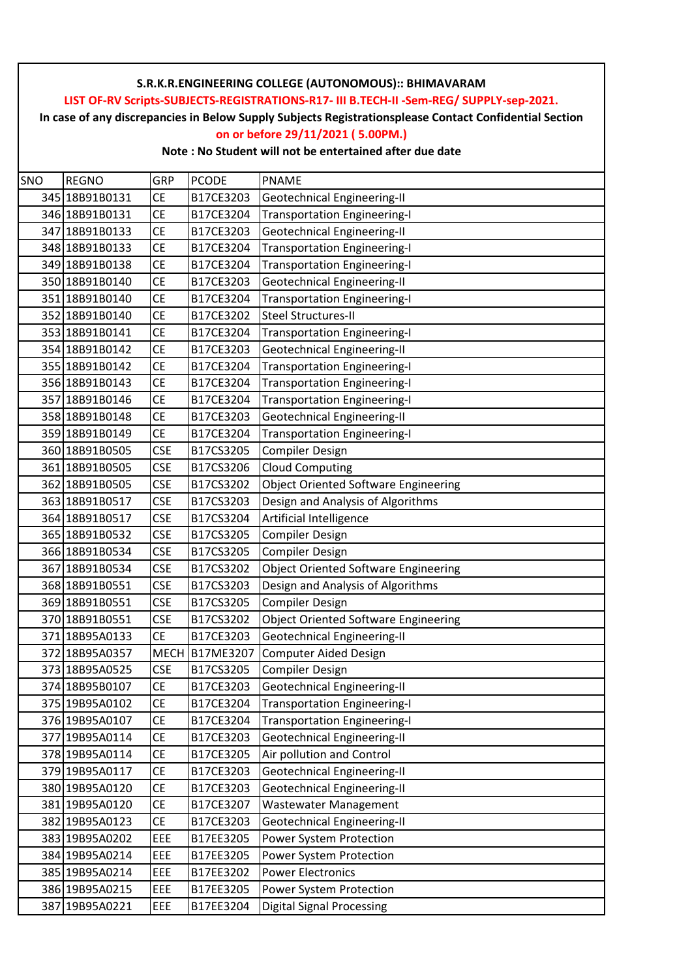**In case of any discrepancies in Below Supply Subjects Registrationsplease Contact Confidential Section**

## **on or before 29/11/2021 ( 5.00PM.)**

| SNO | <b>REGNO</b>   | GRP         | <b>PCODE</b> | <b>PNAME</b>                                |
|-----|----------------|-------------|--------------|---------------------------------------------|
|     | 345 18B91B0131 | СE          | B17CE3203    | Geotechnical Engineering-II                 |
|     | 346 18B91B0131 | <b>CE</b>   | B17CE3204    | <b>Transportation Engineering-I</b>         |
|     | 347 18B91B0133 | <b>CE</b>   | B17CE3203    | <b>Geotechnical Engineering-II</b>          |
|     | 348 18B91B0133 | <b>CE</b>   | B17CE3204    | <b>Transportation Engineering-I</b>         |
|     | 349 18B91B0138 | <b>CE</b>   | B17CE3204    | <b>Transportation Engineering-I</b>         |
|     | 350 18B91B0140 | <b>CE</b>   | B17CE3203    | <b>Geotechnical Engineering-II</b>          |
|     | 351 18B91B0140 | <b>CE</b>   | B17CE3204    | <b>Transportation Engineering-I</b>         |
|     | 352 18B91B0140 | <b>CE</b>   | B17CE3202    | <b>Steel Structures-II</b>                  |
|     | 353 18B91B0141 | <b>CE</b>   | B17CE3204    | <b>Transportation Engineering-I</b>         |
|     | 354 18B91B0142 | <b>CE</b>   | B17CE3203    | <b>Geotechnical Engineering-II</b>          |
|     | 355 18B91B0142 | <b>CE</b>   | B17CE3204    | <b>Transportation Engineering-I</b>         |
|     | 356 18B91B0143 | <b>CE</b>   | B17CE3204    | <b>Transportation Engineering-I</b>         |
|     | 357 18B91B0146 | СE          | B17CE3204    | <b>Transportation Engineering-I</b>         |
|     | 358 18B91B0148 | <b>CE</b>   | B17CE3203    | <b>Geotechnical Engineering-II</b>          |
|     | 359 18B91B0149 | <b>CE</b>   | B17CE3204    | <b>Transportation Engineering-I</b>         |
|     | 360 18B91B0505 | <b>CSE</b>  | B17CS3205    | <b>Compiler Design</b>                      |
|     | 361 18B91B0505 | <b>CSE</b>  | B17CS3206    | <b>Cloud Computing</b>                      |
|     | 362 18B91B0505 | <b>CSE</b>  | B17CS3202    | <b>Object Oriented Software Engineering</b> |
|     | 363 18B91B0517 | <b>CSE</b>  | B17CS3203    | Design and Analysis of Algorithms           |
|     | 364 18B91B0517 | <b>CSE</b>  | B17CS3204    | Artificial Intelligence                     |
|     | 365 18B91B0532 | <b>CSE</b>  | B17CS3205    | <b>Compiler Design</b>                      |
|     | 366 18B91B0534 | <b>CSE</b>  | B17CS3205    | <b>Compiler Design</b>                      |
|     | 367 18B91B0534 | <b>CSE</b>  | B17CS3202    | <b>Object Oriented Software Engineering</b> |
|     | 368 18B91B0551 | <b>CSE</b>  | B17CS3203    | Design and Analysis of Algorithms           |
|     | 369 18B91B0551 | CSE         | B17CS3205    | <b>Compiler Design</b>                      |
|     | 370 18B91B0551 | <b>CSE</b>  | B17CS3202    | <b>Object Oriented Software Engineering</b> |
|     | 37118B95A0133  | <b>CE</b>   | B17CE3203    | Geotechnical Engineering-II                 |
|     | 372 18B95A0357 | <b>MECH</b> | B17ME3207    | <b>Computer Aided Design</b>                |
|     | 373 18B95A0525 | <b>CSE</b>  | B17CS3205    | <b>Compiler Design</b>                      |
|     | 374 18B95B0107 | СE          | B17CE3203    | <b>Geotechnical Engineering-II</b>          |
|     | 375 19B95A0102 | <b>CE</b>   | B17CE3204    | <b>Transportation Engineering-I</b>         |
|     | 376 19B95A0107 | <b>CE</b>   | B17CE3204    | <b>Transportation Engineering-I</b>         |
|     | 377 19B95A0114 | <b>CE</b>   | B17CE3203    | <b>Geotechnical Engineering-II</b>          |
|     | 378 19B95A0114 | СE          | B17CE3205    | Air pollution and Control                   |
|     | 379 19B95A0117 | <b>CE</b>   | B17CE3203    | <b>Geotechnical Engineering-II</b>          |
|     | 380 19B95A0120 | <b>CE</b>   | B17CE3203    | Geotechnical Engineering-II                 |
|     | 381 19B95A0120 | <b>CE</b>   | B17CE3207    | <b>Wastewater Management</b>                |
|     | 382 19B95A0123 | <b>CE</b>   | B17CE3203    | <b>Geotechnical Engineering-II</b>          |
|     | 383 19B95A0202 | EEE         | B17EE3205    | Power System Protection                     |
|     | 384 19B95A0214 | EEE         | B17EE3205    | Power System Protection                     |
|     | 385 19B95A0214 | EEE         | B17EE3202    | <b>Power Electronics</b>                    |
|     | 386 19B95A0215 | EEE         | B17EE3205    | Power System Protection                     |
|     | 387 19B95A0221 | EEE         | B17EE3204    | <b>Digital Signal Processing</b>            |